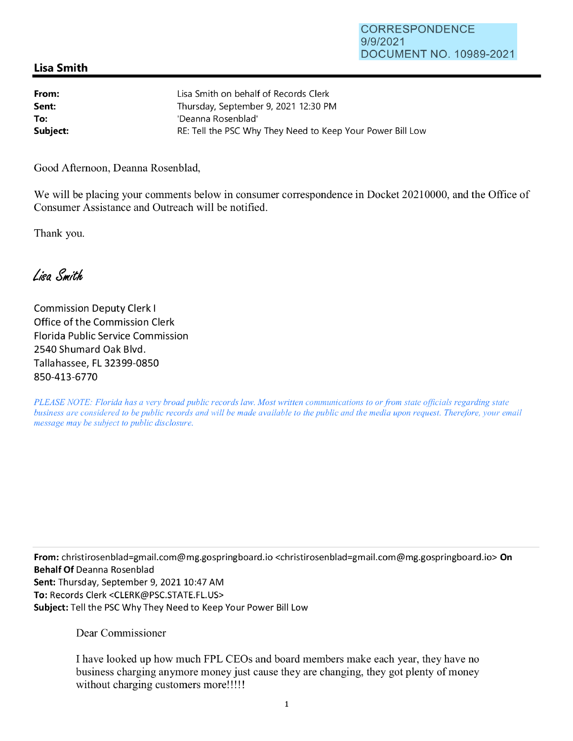## **Lisa Smith**

| From:    | Lisa Smith on behalf of Records Clerk                      |
|----------|------------------------------------------------------------|
| Sent:    | Thursday, September 9, 2021 12:30 PM                       |
| To:      | 'Deanna Rosenblad'                                         |
| Subject: | RE: Tell the PSC Why They Need to Keep Your Power Bill Low |

Good Afternoon, Deanna Rosenblad,

We will be placing your comments below in consumer correspondence in Docket 20210000, and the Office of Consumer Assistance and Outreach will be notified.

Thank you.

Lisa Smith

Commission Deputy Clerk I Office of the Commission Clerk Florida Public Service Commission 2540 Shumard Oak Blvd. Tallahassee, FL 32399-0850 850-413-6770

*PLEASE NOTE: Florida has a very broad public records law. Most written communications to or from state officials regarding state business are considered to be public records and will be made available to the public and the media upon request. Therefore, your email message may be subject to public disclosure.* 

**From:** christirosenblad=gmail.com@mg.gospringboard.io <christirosenblad=gmail.com@mg.gospringboard.io> **On Behalf Of** Deanna Rosenblad Sent: Thursday, September 9, 2021 10:47 AM **To:** Records Clerk <CLERK@PSC.STATE.FL.US> **Subject:** Tell the PSC Why They Need to Keep Your Power Bill Low

Dear Commissioner

I have looked up how much FPL CEOs and board members make each year, they have no business charging anymore money just cause they are changing, they got plenty of money without charging customers more!!!!!